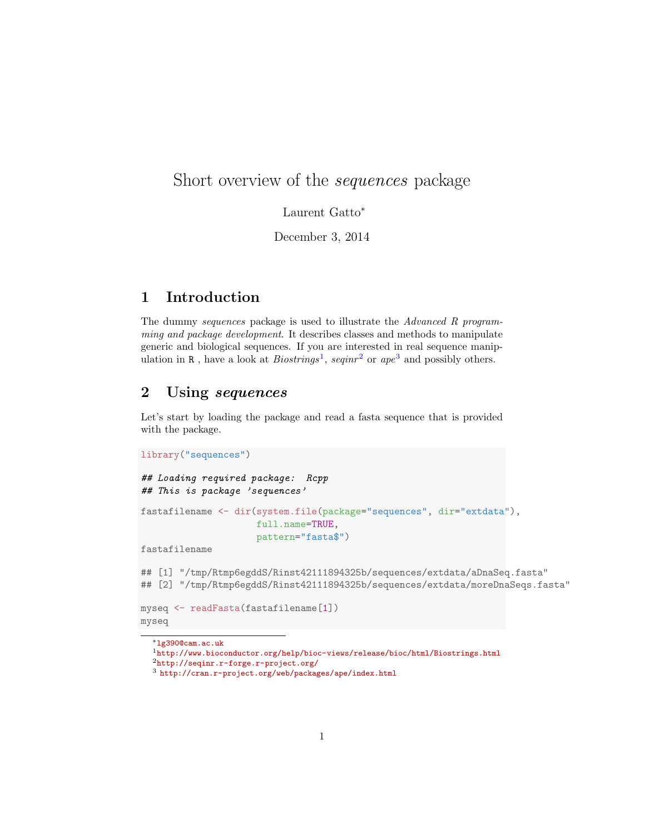# Short overview of the sequences package

Laurent Gatto<sup>∗</sup>

December 3, 2014

## 1 Introduction

The dummy sequences package is used to illustrate the Advanced R programming and package development. It describes classes and methods to manipulate generic and biological sequences. If you are interested in real sequence manipulation in R, have a look at  $Biostrings<sup>1</sup>$  $Biostrings<sup>1</sup>$  $Biostrings<sup>1</sup>$ , seqinr<sup>[2](#page-0-1)</sup> or ape<sup>[3](#page-0-2)</sup> and possibly others.

#### 2 Using sequences

Let's start by loading the package and read a fasta sequence that is provided with the package.

```
library("sequences")
## Loading required package: Rcpp
## This is package 'sequences'
fastafilename <- dir(system.file(package="sequences", dir="extdata"),
                     full.name=TRUE,
                     pattern="fasta$")
fastafilename
## [1] "/tmp/Rtmp6egddS/Rinst42111894325b/sequences/extdata/aDnaSeq.fasta"
## [2] "/tmp/Rtmp6egddS/Rinst42111894325b/sequences/extdata/moreDnaSeqs.fasta"
myseq <- readFasta(fastafilename[1])
myseq
```
<sup>∗</sup>[lg390@cam.ac.uk](mailto:lg390@cam.ac.uk)

<span id="page-0-0"></span><sup>1</sup><http://www.bioconductor.org/help/bioc-views/release/bioc/html/Biostrings.html>

<span id="page-0-1"></span><sup>2</sup><http://seqinr.r-forge.r-project.org/>

<span id="page-0-2"></span><sup>3</sup> <http://cran.r-project.org/web/packages/ape/index.html>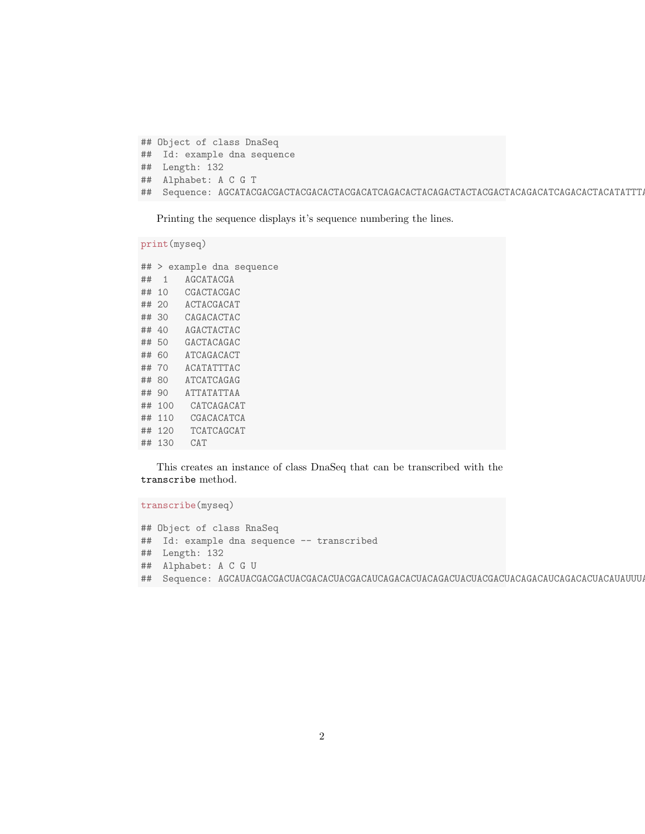```
## Object of class DnaSeq
## Id: example dna sequence
## Length: 132
## Alphabet: A C G T
## Sequence: AGCATACGACGACTACGACACTACGACATCAGACACTACAGACTACTACGACTACAGACATCAGACACTACATATTTACATCATCAGAGATTATATTAACATCAGACATCGACACATCATCATCAGCATCAT
```
Printing the sequence displays it's sequence numbering the lines.

```
## > example dna sequence
## 1 AGCATACGA
## 10 CGACTACGAC
## 20 ACTACGACAT
## 30 CAGACACTAC
## 40 AGACTACTAC
## 50 GACTACAGAC
## 60 ATCAGACACT
## 70 ACATATTTAC
## 80 ATCATCAGAG
## 90 ATTATATTAA
## 100 CATCAGACAT
## 110 CGACACATCA
## 120 TCATCAGCAT
## 130 CAT
```
print(myseq)

This creates an instance of class DnaSeq that can be transcribed with the transcribe method.

transcribe(myseq) ## Object of class RnaSeq ## Id: example dna sequence -- transcribed ## Length: 132 ## Alphabet: A C G U ## Sequence: AGCAUACGACGACUACGACACUACGACAUCAGACACUACAGACUACUACGACUACAGACAUCAGACACUACAUAUUUACAUCAUCAGAGAUUAUAUUAACAUCAGACAUCGACACAUCAUCAUCAGCAUCAU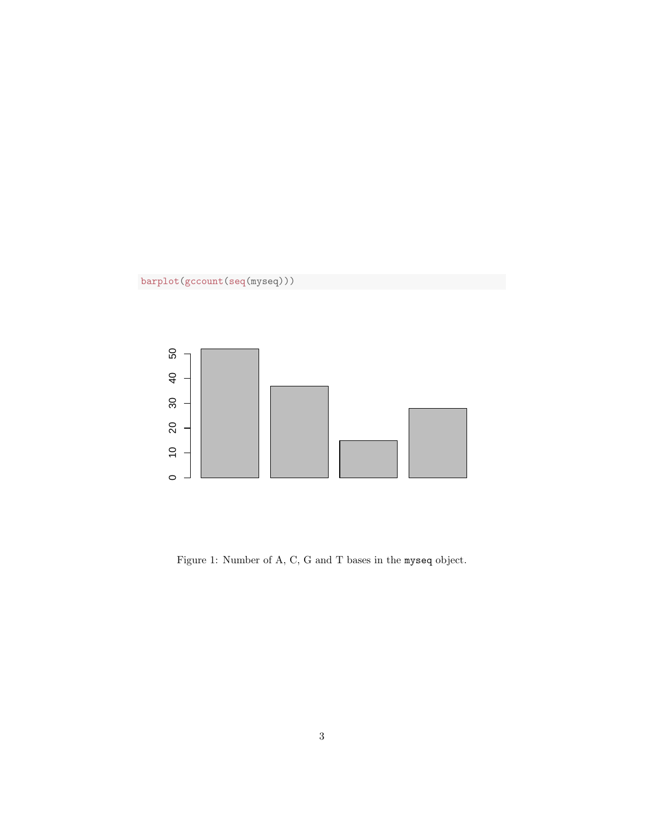



Figure 1: Number of A, C, G and T bases in the myseq object.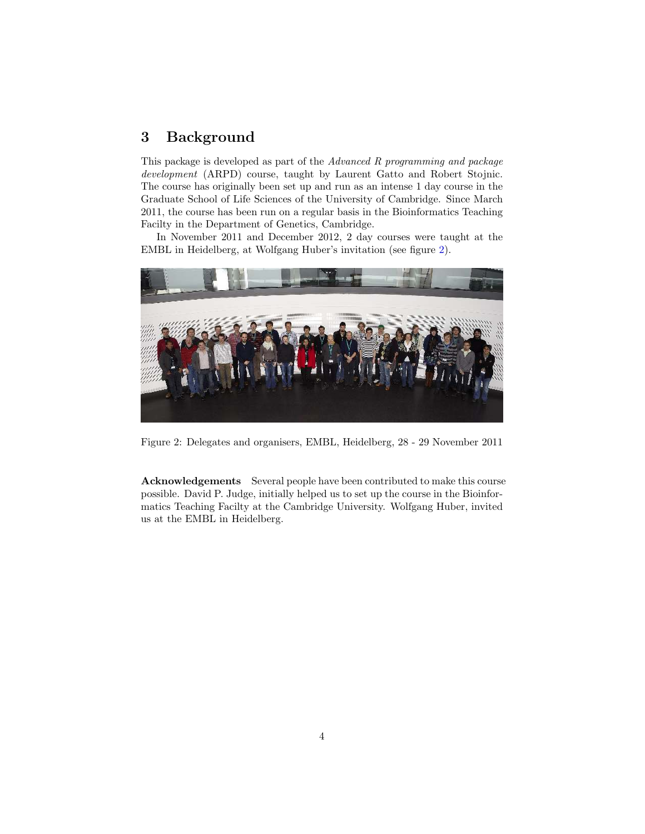### 3 Background

This package is developed as part of the Advanced R programming and package development (ARPD) course, taught by Laurent Gatto and Robert Stojnic. The course has originally been set up and run as an intense 1 day course in the Graduate School of Life Sciences of the University of Cambridge. Since March 2011, the course has been run on a regular basis in the Bioinformatics Teaching Facilty in the Department of Genetics, Cambridge.

In November 2011 and December 2012, 2 day courses were taught at the EMBL in Heidelberg, at Wolfgang Huber's invitation (see figure [2\)](#page-3-0).



Figure 2: Delegates and organisers, EMBL, Heidelberg, 28 - 29 November 2011

<span id="page-3-0"></span>Acknowledgements Several people have been contributed to make this course possible. David P. Judge, initially helped us to set up the course in the Bioinformatics Teaching Facilty at the Cambridge University. Wolfgang Huber, invited us at the EMBL in Heidelberg.